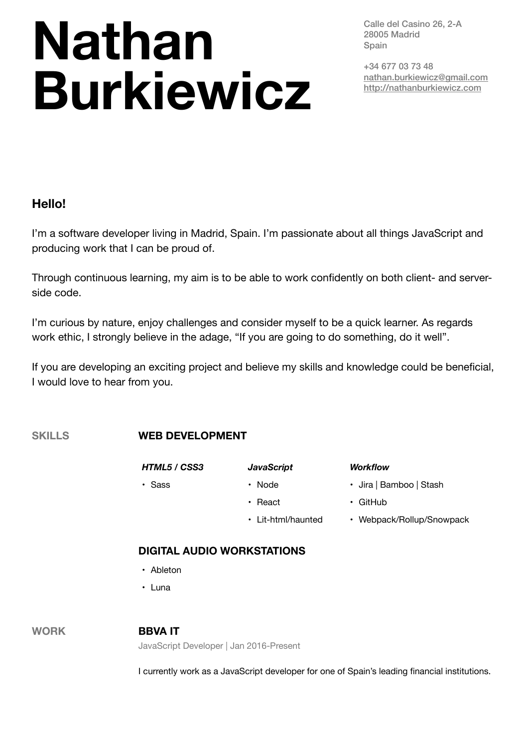# **Nathan Burkiewicz**

Calle del Casino 26, 2-A 28005 Madrid **Spain** 

+34 677 03 73 48 [nathan.burkiewicz@gmail.com](mailto:nathan.burkiewicz@gmail.com) http://nathanburkiewicz.com

## **Hello!**

I'm a software developer living in Madrid, Spain. I'm passionate about all things JavaScript and producing work that I can be proud of.

Through continuous learning, my aim is to be able to work confidently on both client- and serverside code.

I'm curious by nature, enjoy challenges and consider myself to be a quick learner. As regards work ethic, I strongly believe in the adage, "If you are going to do something, do it well".

If you are developing an exciting project and believe my skills and knowledge could be beneficial, I would love to hear from you.

## **SKILLS WEB DEVELOPMENT**

- *HTML5 / CSS3 JavaScript Workflow*
	-
- 
- 
- 
- 
- 
- Sass Node Jira | Bamboo | Stash
	- React GitHub
	- Lit-html/haunted Webpack/Rollup/Snowpack

## **DIGITAL AUDIO WORKSTATIONS**

- Ableton
- Luna

## **WORK BBVA IT**

JavaScript Developer | Jan 2016-Present

I currently work as a JavaScript developer for one of Spain's leading financial institutions.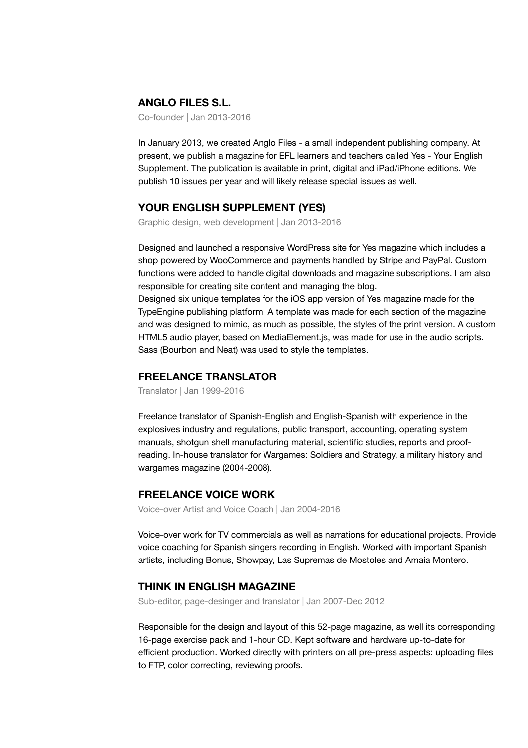#### **ANGLO FILES S.L.**

Co-founder | Jan 2013-2016

In January 2013, we created Anglo Files - a small independent publishing company. At present, we publish a magazine for EFL learners and teachers called Yes - Your English Supplement. The publication is available in print, digital and iPad/iPhone editions. We publish 10 issues per year and will likely release special issues as well.

#### **YOUR ENGLISH SUPPLEMENT (YES)**

Graphic design, web development | Jan 2013-2016

Designed and launched a responsive WordPress site for Yes magazine which includes a shop powered by WooCommerce and payments handled by Stripe and PayPal. Custom functions were added to handle digital downloads and magazine subscriptions. I am also responsible for creating site content and managing the blog.

Designed six unique templates for the iOS app version of Yes magazine made for the TypeEngine publishing platform. A template was made for each section of the magazine and was designed to mimic, as much as possible, the styles of the print version. A custom HTML5 audio player, based on MediaElement.js, was made for use in the audio scripts. Sass (Bourbon and Neat) was used to style the templates.

#### **FREELANCE TRANSLATOR**

Translator | Jan 1999-2016

Freelance translator of Spanish-English and English-Spanish with experience in the explosives industry and regulations, public transport, accounting, operating system manuals, shotgun shell manufacturing material, scientific studies, reports and proofreading. In-house translator for Wargames: Soldiers and Strategy, a military history and wargames magazine (2004-2008).

#### **FREELANCE VOICE WORK**

Voice-over Artist and Voice Coach | Jan 2004-2016

Voice-over work for TV commercials as well as narrations for educational projects. Provide voice coaching for Spanish singers recording in English. Worked with important Spanish artists, including Bonus, Showpay, Las Supremas de Mostoles and Amaia Montero.

#### **THINK IN ENGLISH MAGAZINE**

Sub-editor, page-desinger and translator | Jan 2007-Dec 2012

Responsible for the design and layout of this 52-page magazine, as well its corresponding 16-page exercise pack and 1-hour CD. Kept software and hardware up-to-date for efficient production. Worked directly with printers on all pre-press aspects: uploading files to FTP, color correcting, reviewing proofs.